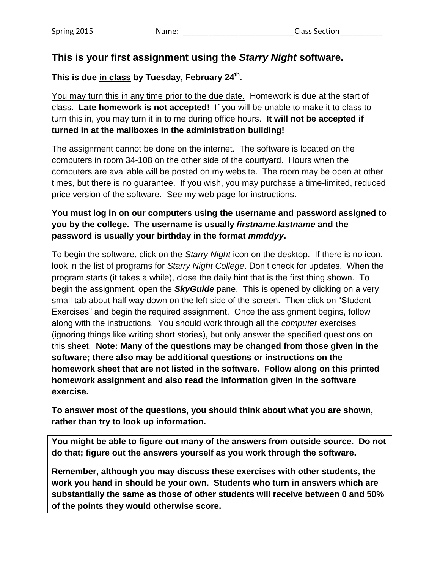# **This is your first assignment using the** *Starry Night* **software.**

### **This is due in class by Tuesday, February 24th .**

You may turn this in any time prior to the due date. Homework is due at the start of class. **Late homework is not accepted!** If you will be unable to make it to class to turn this in, you may turn it in to me during office hours. **It will not be accepted if turned in at the mailboxes in the administration building!**

The assignment cannot be done on the internet. The software is located on the computers in room 34-108 on the other side of the courtyard. Hours when the computers are available will be posted on my website. The room may be open at other times, but there is no guarantee. If you wish, you may purchase a time-limited, reduced price version of the software. See my web page for instructions.

### **You must log in on our computers using the username and password assigned to you by the college. The username is usually** *firstname.lastname* **and the password is usually your birthday in the format** *mmddyy***.**

To begin the software, click on the *Starry Night* icon on the desktop. If there is no icon, look in the list of programs for *Starry Night College*. Don't check for updates. When the program starts (it takes a while), close the daily hint that is the first thing shown. To begin the assignment, open the *SkyGuide* pane. This is opened by clicking on a very small tab about half way down on the left side of the screen. Then click on "Student Exercises" and begin the required assignment. Once the assignment begins, follow along with the instructions. You should work through all the *computer* exercises (ignoring things like writing short stories), but only answer the specified questions on this sheet. **Note: Many of the questions may be changed from those given in the software; there also may be additional questions or instructions on the homework sheet that are not listed in the software. Follow along on this printed homework assignment and also read the information given in the software exercise.**

**To answer most of the questions, you should think about what you are shown, rather than try to look up information.**

**You might be able to figure out many of the answers from outside source. Do not do that; figure out the answers yourself as you work through the software.** 

**Remember, although you may discuss these exercises with other students, the work you hand in should be your own. Students who turn in answers which are substantially the same as those of other students will receive between 0 and 50% of the points they would otherwise score.**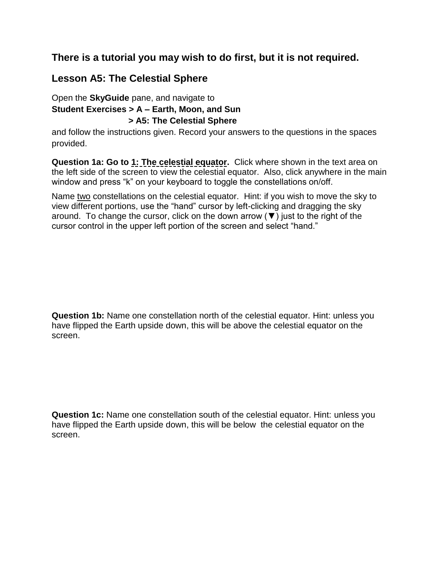# **There is a tutorial you may wish to do first, but it is not required.**

# **Lesson A5: The Celestial Sphere**

### Open the **SkyGuide** pane, and navigate to **Student Exercises > A – Earth, Moon, and Sun > A5: The Celestial Sphere**

and follow the instructions given. Record your answers to the questions in the spaces provided.

**Question 1a: Go to 1: The celestial equator.** Click where shown in the text area on the left side of the screen to view the celestial equator. Also, click anywhere in the main window and press "k" on your keyboard to toggle the constellations on/off.

Name two constellations on the celestial equator. Hint: if you wish to move the sky to view different portions, use the "hand" cursor by left-clicking and dragging the sky around. To change the cursor, click on the down arrow  $(\nabla)$  just to the right of the cursor control in the upper left portion of the screen and select "hand."

**Question 1b:** Name one constellation north of the celestial equator. Hint: unless you have flipped the Earth upside down, this will be above the celestial equator on the screen.

**Question 1c:** Name one constellation south of the celestial equator. Hint: unless you have flipped the Earth upside down, this will be below the celestial equator on the screen.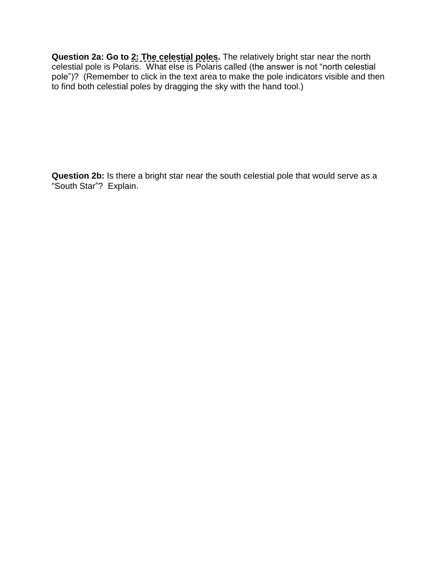**Question 2a: Go to 2: The celestial poles.** The relatively bright star near the north celestial pole is Polaris. What else is Polaris called (the answer is not "north celestial pole")? (Remember to click in the text area to make the pole indicators visible and then to find both celestial poles by dragging the sky with the hand tool.)

**Question 2b:** Is there a bright star near the south celestial pole that would serve as a "South Star"? Explain.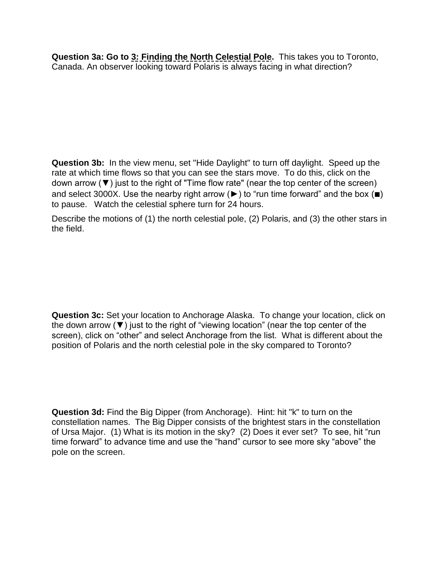**Question 3a: Go to 3: Finding the North Celestial Pole.** This takes you to Toronto, Canada. An observer looking toward Polaris is always facing in what direction?

**Question 3b:** In the view menu, set "Hide Daylight" to turn off daylight. Speed up the rate at which time flows so that you can see the stars move. To do this, click on the down arrow (▼) just to the right of "Time flow rate" (near the top center of the screen) and select 3000X. Use the nearby right arrow ( $\blacktriangleright$ ) to "run time forward" and the box ( $\blacksquare$ ) to pause. Watch the celestial sphere turn for 24 hours.

Describe the motions of (1) the north celestial pole, (2) Polaris, and (3) the other stars in the field.

**Question 3c:** Set your location to Anchorage Alaska. To change your location, click on the down arrow (▼) just to the right of "viewing location" (near the top center of the screen), click on "other" and select Anchorage from the list. What is different about the position of Polaris and the north celestial pole in the sky compared to Toronto?

**Question 3d:** Find the Big Dipper (from Anchorage). Hint: hit "k" to turn on the constellation names. The Big Dipper consists of the brightest stars in the constellation of Ursa Major. (1) What is its motion in the sky? (2) Does it ever set? To see, hit "run time forward" to advance time and use the "hand" cursor to see more sky "above" the pole on the screen.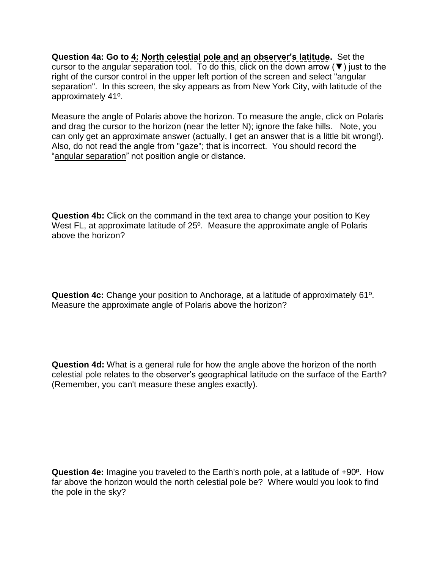**Question 4a: Go to 4: North celestial pole and an observer's latitude.** Set the cursor to the angular separation tool. To do this, click on the down arrow  $(\blacktriangledown)$  just to the right of the cursor control in the upper left portion of the screen and select "angular separation". In this screen, the sky appears as from New York City, with latitude of the approximately 41º.

Measure the angle of Polaris above the horizon. To measure the angle, click on Polaris and drag the cursor to the horizon (near the letter N); ignore the fake hills. Note, you can only get an approximate answer (actually, I get an answer that is a little bit wrong!). Also, do not read the angle from "gaze"; that is incorrect. You should record the "angular separation" not position angle or distance.

**Question 4b:** Click on the command in the text area to change your position to Key West FL, at approximate latitude of 25º. Measure the approximate angle of Polaris above the horizon?

**Question 4c:** Change your position to Anchorage, at a latitude of approximately 61º. Measure the approximate angle of Polaris above the horizon?

**Question 4d:** What is a general rule for how the angle above the horizon of the north celestial pole relates to the observer's geographical latitude on the surface of the Earth? (Remember, you can't measure these angles exactly).

**Question 4e:** Imagine you traveled to the Earth's north pole, at a latitude of +90<sup>o</sup>. How far above the horizon would the north celestial pole be? Where would you look to find the pole in the sky?